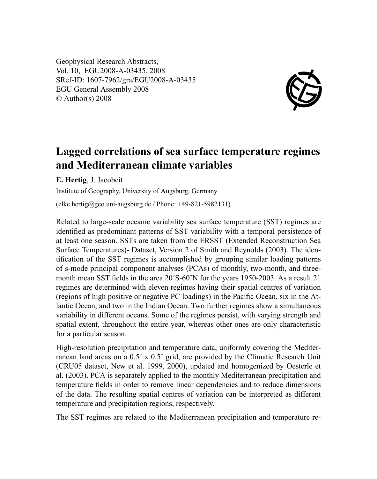Geophysical Research Abstracts, Vol. 10, EGU2008-A-03435, 2008 SRef-ID: 1607-7962/gra/EGU2008-A-03435 EGU General Assembly 2008 © Author(s) 2008



## **Lagged correlations of sea surface temperature regimes and Mediterranean climate variables**

**E. Hertig**, J. Jacobeit

Institute of Geography, University of Augsburg, Germany

(elke.hertig@geo.uni-augsburg.de / Phone: +49-821-5982131)

Related to large-scale oceanic variability sea surface temperature (SST) regimes are identified as predominant patterns of SST variability with a temporal persistence of at least one season. SSTs are taken from the ERSST (Extended Reconstruction Sea Surface Temperatures)- Dataset, Version 2 of Smith and Reynolds (2003). The identification of the SST regimes is accomplished by grouping similar loading patterns of s-mode principal component analyses (PCAs) of monthly, two-month, and threemonth mean SST fields in the area 20˚S-60˚N for the years 1950-2003. As a result 21 regimes are determined with eleven regimes having their spatial centres of variation (regions of high positive or negative PC loadings) in the Pacific Ocean, six in the Atlantic Ocean, and two in the Indian Ocean. Two further regimes show a simultaneous variability in different oceans. Some of the regimes persist, with varying strength and spatial extent, throughout the entire year, whereas other ones are only characteristic for a particular season.

High-resolution precipitation and temperature data, uniformly covering the Mediterranean land areas on a 0.5˚ x 0.5˚ grid, are provided by the Climatic Research Unit (CRU05 dataset, New et al. 1999, 2000), updated and homogenized by Oesterle et al. (2003). PCA is separately applied to the monthly Mediterranean precipitation and temperature fields in order to remove linear dependencies and to reduce dimensions of the data. The resulting spatial centres of variation can be interpreted as different temperature and precipitation regions, respectively.

The SST regimes are related to the Mediterranean precipitation and temperature re-